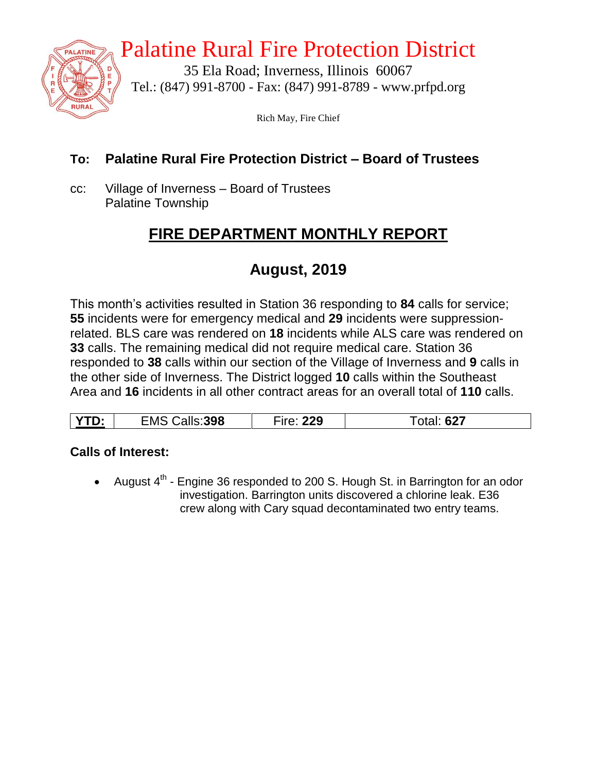

## Palatine Rural Fire Protection District

35 Ela Road; Inverness, Illinois 60067 Tel.: (847) 991-8700 - Fax: (847) 991-8789 - www.prfpd.org

Rich May, Fire Chief

#### **To: Palatine Rural Fire Protection District – Board of Trustees**

cc: Village of Inverness – Board of Trustees Palatine Township

## **FIRE DEPARTMENT MONTHLY REPORT**

## **August, 2019**

This month's activities resulted in Station 36 responding to **84** calls for service; **55** incidents were for emergency medical and **29** incidents were suppressionrelated. BLS care was rendered on **18** incidents while ALS care was rendered on **33** calls. The remaining medical did not require medical care. Station 36 responded to **38** calls within our section of the Village of Inverness and **9** calls in the other side of Inverness. The District logged **10** calls within the Southeast Area and **16** incidents in all other contract areas for an overall total of **110** calls.

| 398<br>– n 1 L<br>' IVI<br>υ.<br>_____ | 20<br>. | 02 I |
|----------------------------------------|---------|------|
|----------------------------------------|---------|------|

#### **Calls of Interest:**

• August  $4^{th}$  - Engine 36 responded to 200 S. Hough St. in Barrington for an odor investigation. Barrington units discovered a chlorine leak. E36 crew along with Cary squad decontaminated two entry teams.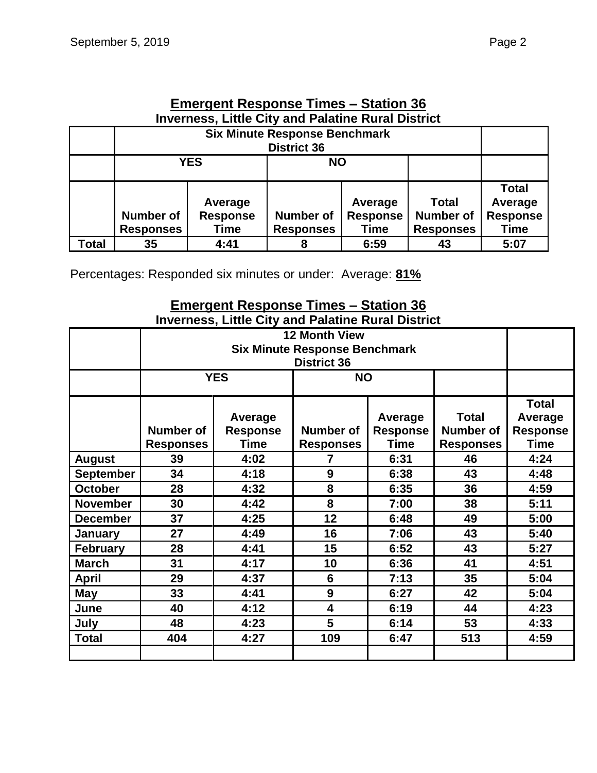|                                                           | Elliergellt Response Times – Station 30                                                            |                 |                  |                         |    |              |  |  |  |
|-----------------------------------------------------------|----------------------------------------------------------------------------------------------------|-----------------|------------------|-------------------------|----|--------------|--|--|--|
| <b>Inverness, Little City and Palatine Rural District</b> |                                                                                                    |                 |                  |                         |    |              |  |  |  |
|                                                           | <b>Six Minute Response Benchmark</b>                                                               |                 |                  |                         |    |              |  |  |  |
|                                                           | <b>District 36</b>                                                                                 |                 |                  |                         |    |              |  |  |  |
|                                                           | <b>YES</b><br><b>NO</b>                                                                            |                 |                  |                         |    |              |  |  |  |
|                                                           |                                                                                                    |                 |                  |                         |    |              |  |  |  |
|                                                           |                                                                                                    |                 |                  |                         |    | <b>Total</b> |  |  |  |
|                                                           |                                                                                                    | Average         |                  | <b>Total</b><br>Average |    |              |  |  |  |
|                                                           | <b>Number of</b>                                                                                   | <b>Response</b> | <b>Number of</b> | <b>Response</b>         |    |              |  |  |  |
|                                                           | <b>Response</b><br><b>Responses</b><br><b>Responses</b><br><b>Time</b><br><b>Responses</b><br>Time |                 |                  |                         |    |              |  |  |  |
| Total                                                     | 35                                                                                                 | 4:41            | 8                | 6:59                    | 43 | 5:07         |  |  |  |

# **Emergent Response Times – Station 36**

Percentages: Responded six minutes or under: Average: **81%**

#### **Emergent Response Times – Station 36 Inverness, Little City and Palatine Rural District**

|                  |                                      | <b>YES</b>                         | <b>NO</b>                            |                                    |                                                      |                                                    |
|------------------|--------------------------------------|------------------------------------|--------------------------------------|------------------------------------|------------------------------------------------------|----------------------------------------------------|
|                  | <b>Number of</b><br><b>Responses</b> | Average<br><b>Response</b><br>Time | <b>Number of</b><br><b>Responses</b> | Average<br><b>Response</b><br>Time | <b>Total</b><br><b>Number of</b><br><b>Responses</b> | <b>Total</b><br>Average<br><b>Response</b><br>Time |
| <b>August</b>    | 39                                   | 4:02                               | 7                                    | 6:31                               | 46                                                   | 4:24                                               |
| <b>September</b> | 34                                   | 4:18<br>9<br>6:38                  |                                      | 43                                 | 4:48                                                 |                                                    |
| <b>October</b>   | 28                                   | 4:32                               | 8                                    | 6:35                               |                                                      | 4:59                                               |
| <b>November</b>  | 30                                   | 4:42                               | 8<br>7:00                            |                                    | 38                                                   | 5:11                                               |
| <b>December</b>  | 37                                   | 4:25                               | 12                                   | 6:48                               | 49                                                   | 5:00                                               |
| January          | 27                                   | 4:49                               | 16                                   | 7:06                               | 43                                                   | 5:40                                               |
| <b>February</b>  | 28                                   | 4:41                               | 15                                   | 6:52                               | 43                                                   | 5:27                                               |
| <b>March</b>     | 31                                   | 4:17<br>10<br>6:36<br>41           |                                      |                                    |                                                      | 4:51                                               |
| <b>April</b>     | 29                                   | 4:37<br>6<br>7:13<br>35            |                                      |                                    |                                                      | 5:04                                               |
| May              | 33                                   | 4:41                               | 9<br>6:27                            |                                    | 42                                                   | 5:04                                               |
| June             | 40                                   | 4:12                               | 4                                    | 6:19                               | 44                                                   | 4:23                                               |
| July             | 48                                   | 4:23                               | 5                                    | 6:14                               | 53                                                   | 4:33                                               |
| <b>Total</b>     | 404                                  | 4:27                               | 109                                  | 6:47                               | 513                                                  | 4:59                                               |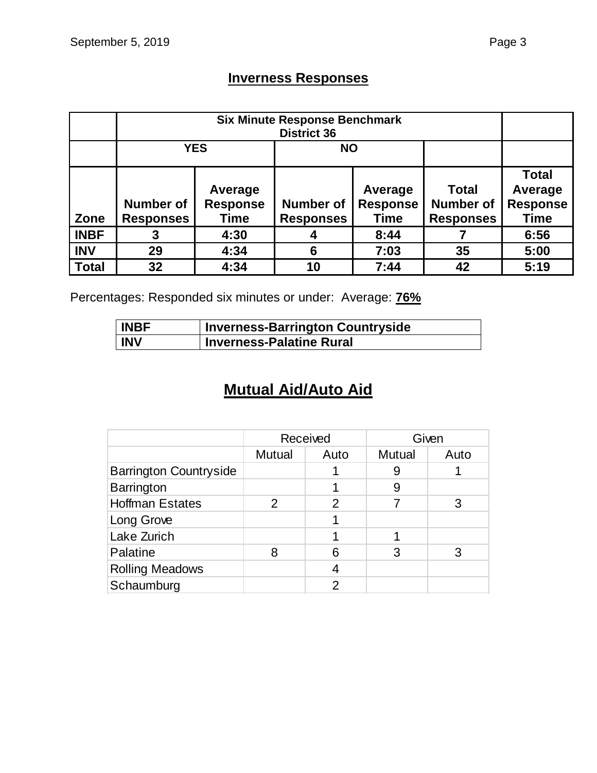## **Inverness Responses**

|              | <b>YES</b>       |                 |                  |                 |                  |                 |
|--------------|------------------|-----------------|------------------|-----------------|------------------|-----------------|
|              |                  |                 |                  |                 |                  | <b>Total</b>    |
|              |                  | Average         |                  | Average         | <b>Total</b>     | Average         |
|              | <b>Number of</b> | <b>Response</b> | <b>Number of</b> | <b>Response</b> | <b>Number of</b> | <b>Response</b> |
| Zone         | <b>Responses</b> | Time            | <b>Responses</b> | <b>Time</b>     | <b>Responses</b> | <b>Time</b>     |
| <b>INBF</b>  |                  | 4:30            |                  | 8:44            |                  | 6:56            |
| <b>INV</b>   | 29               | 4:34            | 6                | 7:03            | 35               | 5:00            |
| <b>Total</b> | 32               | 4:34            | 10               | 7:44            | 42               | 5:19            |

Percentages: Responded six minutes or under: Average: **76%**

| <b>INBF</b> | <b>Inverness-Barrington Countryside</b> |
|-------------|-----------------------------------------|
| <b>INV</b>  | <b>Inverness-Palatine Rural</b>         |

## **Mutual Aid/Auto Aid**

|                               | Received      |      |        | Given |
|-------------------------------|---------------|------|--------|-------|
|                               | <b>Mutual</b> | Auto | Mutual | Auto  |
| <b>Barrington Countryside</b> |               |      | 9      |       |
| Barrington                    |               |      | 9      |       |
| <b>Hoffman Estates</b>        | $\mathcal{P}$ | 2    |        |       |
| Long Grove                    |               |      |        |       |
| Lake Zurich                   |               |      |        |       |
| Palatine                      | 8             | 6    | 3      |       |
| <b>Rolling Meadows</b>        |               |      |        |       |
| Schaumburg                    |               | າ    |        |       |